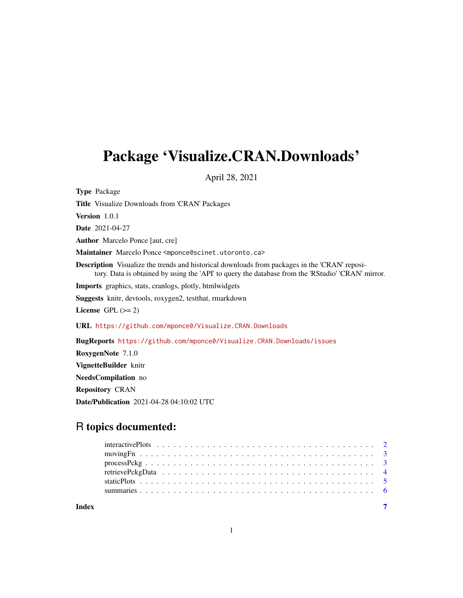## Package 'Visualize.CRAN.Downloads'

April 28, 2021

Type Package Title Visualize Downloads from 'CRAN' Packages Version 1.0.1 Date 2021-04-27 Author Marcelo Ponce [aut, cre] Maintainer Marcelo Ponce <mponce@scinet.utoronto.ca> Description Visualize the trends and historical downloads from packages in the 'CRAN' repository. Data is obtained by using the 'API' to query the database from the 'RStudio' 'CRAN' mirror. Imports graphics, stats, cranlogs, plotly, htmlwidgets Suggests knitr, devtools, roxygen2, testthat, rmarkdown License GPL  $(>= 2)$ URL <https://github.com/mponce0/Visualize.CRAN.Downloads> BugReports <https://github.com/mponce0/Visualize.CRAN.Downloads/issues> RoxygenNote 7.1.0 VignetteBuilder knitr NeedsCompilation no Repository CRAN

Date/Publication 2021-04-28 04:10:02 UTC

### R topics documented:

**Index** [7](#page-6-0) **7**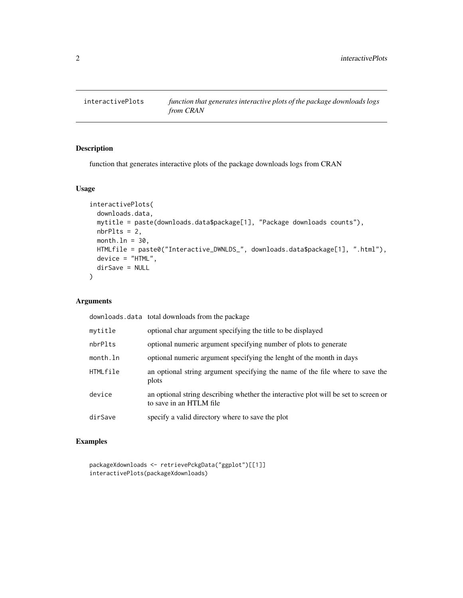<span id="page-1-0"></span>

#### Description

function that generates interactive plots of the package downloads logs from CRAN

#### Usage

```
interactivePlots(
 downloads.data,
 mytitle = paste(downloads.data$package[1], "Package downloads counts"),
 nbrPlts = 2,
 month.ln = 30,
 HTMLfile = paste0("Interactive_DWNLDS_", downloads.data$package[1], ".html"),
 device = "HTML",
 dirSave = NULL
)
```
#### Arguments

downloads.data total downloads from the package

| mytitle  | optional char argument specifying the title to be displayed                                                    |
|----------|----------------------------------------------------------------------------------------------------------------|
| nbrPlts  | optional numeric argument specifying number of plots to generate                                               |
| month.ln | optional numeric argument specifying the lenght of the month in days                                           |
| HTMLfile | an optional string argument specifying the name of the file where to save the<br>plots                         |
| device   | an optional string describing whether the interactive plot will be set to screen or<br>to save in an HTLM file |
| dirSave  | specify a valid directory where to save the plot                                                               |

#### Examples

```
packageXdownloads <- retrievePckgData("ggplot")[[1]]
interactivePlots(packageXdownloads)
```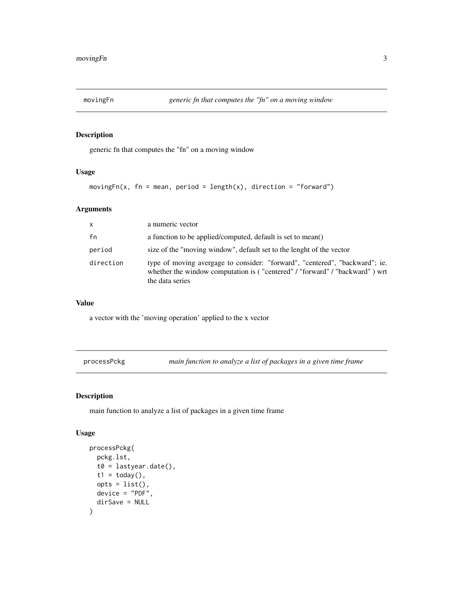<span id="page-2-0"></span>

#### Description

generic fn that computes the "fn" on a moving window

#### Usage

 $movingFn(x, fn = mean, period = length(x), direction = "forward")$ 

#### Arguments

| $\mathsf{x}$ | a numeric vector                                                                                                                                                              |
|--------------|-------------------------------------------------------------------------------------------------------------------------------------------------------------------------------|
| fn           | a function to be applied/computed, default is set to mean()                                                                                                                   |
| period       | size of the "moving window", default set to the lenght of the vector                                                                                                          |
| direction    | type of moving avergage to consider: "forward", "centered", "backward"; ie.<br>whether the window computation is ("centered" / "forward" / "backward") wrt<br>the data series |

#### Value

a vector with the 'moving operation' applied to the x vector

processPckg *main function to analyze a list of packages in a given time frame*

#### Description

main function to analyze a list of packages in a given time frame

#### Usage

```
processPckg(
  pckg.lst,
  t0 = lastyear.date(),
  t1 = today(),
  opts = list(),
  device = "PDF",
  dirSave = NULL
\mathcal{E}
```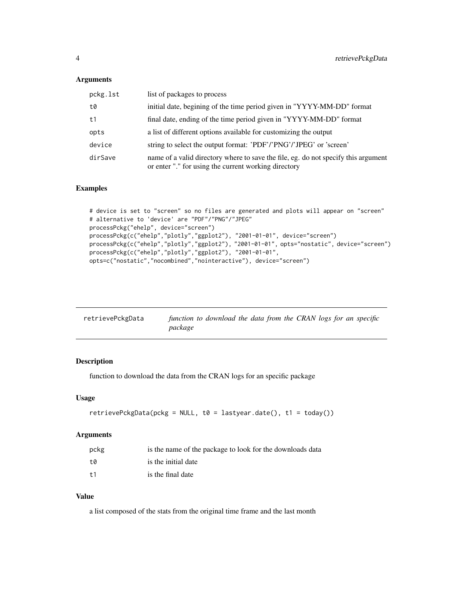#### <span id="page-3-0"></span>Arguments

| pckg.lst | list of packages to process                                                                                                                |
|----------|--------------------------------------------------------------------------------------------------------------------------------------------|
| t0       | initial date, begining of the time period given in "YYYY-MM-DD" format                                                                     |
| t1       | final date, ending of the time period given in "YYYY-MM-DD" format                                                                         |
| opts     | a list of different options available for customizing the output                                                                           |
| device   | string to select the output format: 'PDF'/'PNG'/'JPEG' or 'screen'                                                                         |
| dirSave  | name of a valid directory where to save the file, eg. do not specify this argument<br>or enter "." for using the current working directory |

#### Examples

```
# device is set to "screen" so no files are generated and plots will appear on "screen"
# alternative to 'device' are "PDF"/"PNG"/"JPEG"
processPckg("ehelp", device="screen")
processPckg(c("ehelp","plotly","ggplot2"), "2001-01-01", device="screen")
processPckg(c("ehelp","plotly","ggplot2"), "2001-01-01", opts="nostatic", device="screen")
processPckg(c("ehelp","plotly","ggplot2"), "2001-01-01",
opts=c("nostatic","nocombined","nointeractive"), device="screen")
```

| retrievePckgData | function to download the data from the CRAN logs for an specific |  |
|------------------|------------------------------------------------------------------|--|
|                  | package                                                          |  |

#### Description

function to download the data from the CRAN logs for an specific package

#### Usage

```
retrievePckgData(pckg = NULL, t0 = lastyear.date(), t1 = today())
```
#### Arguments

| pckg | is the name of the package to look for the downloads data |
|------|-----------------------------------------------------------|
| +a   | is the initial date                                       |
| $+1$ | is the final date                                         |

#### Value

a list composed of the stats from the original time frame and the last month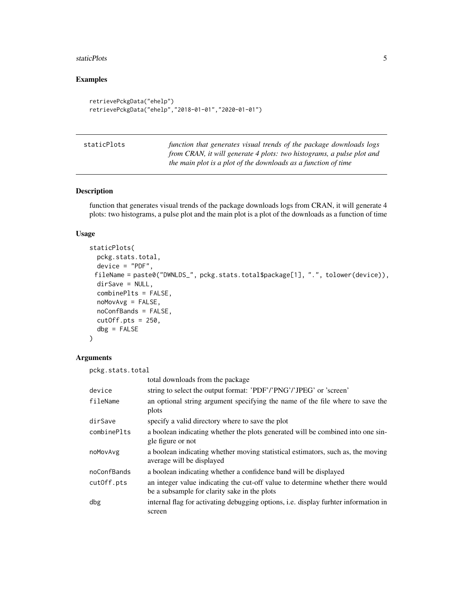#### <span id="page-4-0"></span>staticPlots 5

#### Examples

```
retrievePckgData("ehelp")
retrievePckgData("ehelp","2018-01-01","2020-01-01")
```

|--|

function that generates visual trends of the package downloads logs *from CRAN, it will generate 4 plots: two histograms, a pulse plot and the main plot is a plot of the downloads as a function of time*

#### Description

function that generates visual trends of the package downloads logs from CRAN, it will generate 4 plots: two histograms, a pulse plot and the main plot is a plot of the downloads as a function of time

#### Usage

```
staticPlots(
 pckg.stats.total,
  device = "PDF",
 fileName = paste0("DWNLDS_", pckg.stats.total$package[1], ".", tolower(device)),
  dirSave = NULL,combinePlts = FALSE,
  noMovAvg = FALSE,
  noConfBands = FALSE,
  cutOff.pts = 250,dbg = FALSE)
```
#### Arguments

pckg.stats.total total downloads from the package device string to select the output format: 'PDF'/'PNG'/'JPEG' or 'screen' fileName an optional string argument specifying the name of the file where to save the plots dirSave specify a valid directory where to save the plot combinePlts a boolean indicating whether the plots generated will be combined into one single figure or not noMovAvg a boolean indicating whether moving statistical estimators, such as, the moving average will be displayed noConfBands a boolean indicating whether a confidence band will be displayed cutOff.pts an integer value indicating the cut-off value to determine whether there would be a subsample for clarity sake in the plots dbg internal flag for activating debugging options, i.e. display furhter information in screen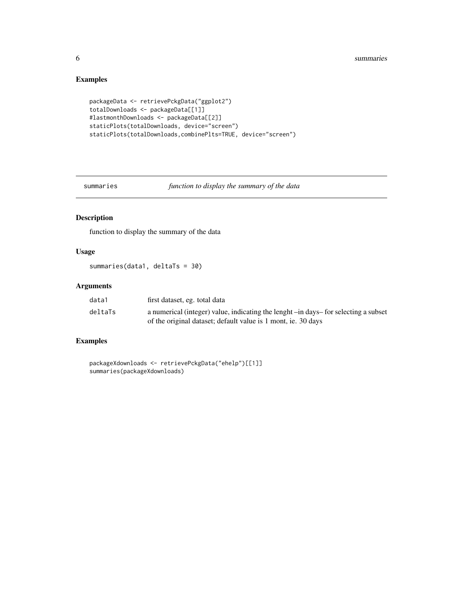#### Examples

```
packageData <- retrievePckgData("ggplot2")
totalDownloads <- packageData[[1]]
#lastmonthDownloads <- packageData[[2]]
staticPlots(totalDownloads, device="screen")
staticPlots(totalDownloads,combinePlts=TRUE, device="screen")
```
summaries *function to display the summary of the data*

#### Description

function to display the summary of the data

#### Usage

summaries(data1, deltaTs = 30)

#### Arguments

| data1   | first dataset, eg. total data                                                       |
|---------|-------------------------------------------------------------------------------------|
| deltaTs | a numerical (integer) value, indicating the lenght -in days- for selecting a subset |
|         | of the original dataset; default value is 1 mont, ie. 30 days                       |

#### Examples

```
packageXdownloads <- retrievePckgData("ehelp")[[1]]
summaries(packageXdownloads)
```
<span id="page-5-0"></span>